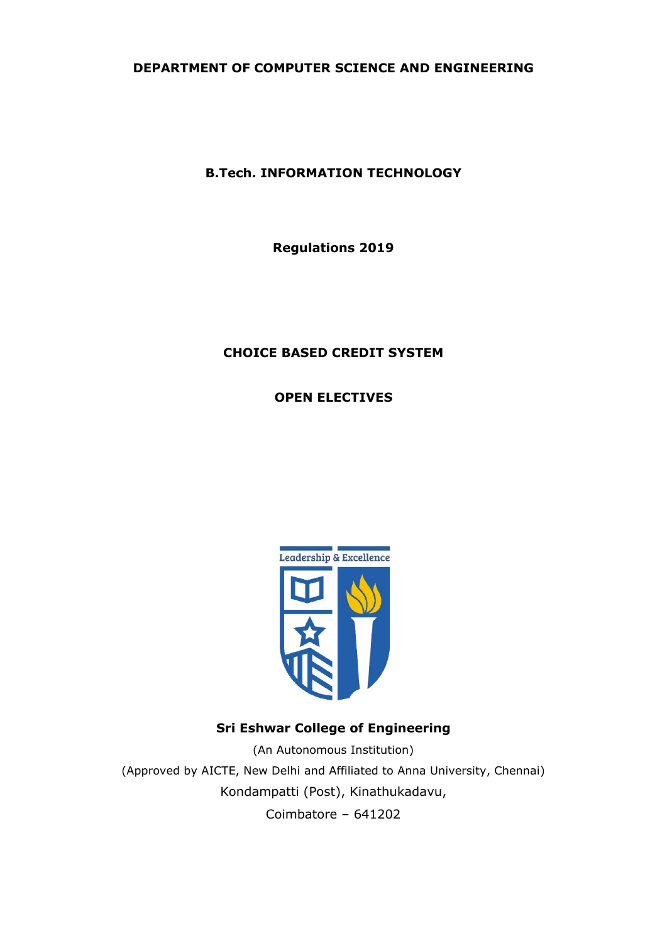# **DEPARTMENT OF COMPUTER SCIENCE AND ENGINEERING**

**B.Tech. INFORMATION TECHNOLOGY**

**Regulations 2019**

# **CHOICE BASED CREDIT SYSTEM**

**OPEN ELECTIVES**



# **Sri Eshwar College of Engineering**

(An Autonomous Institution) (Approved by AICTE, New Delhi and Affiliated to Anna University, Chennai) Kondampatti (Post), Kinathukadavu, Coimbatore – 641202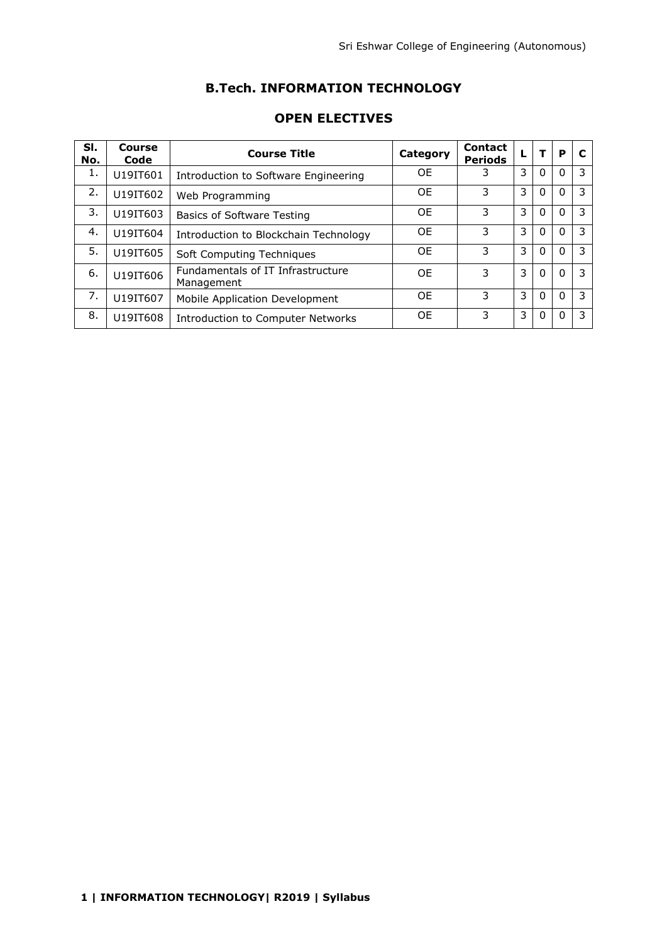# **B.Tech. INFORMATION TECHNOLOGY**

| SI.<br>No. | <b>Course</b><br>Code | <b>Course Title</b>                             | Category  | <b>Contact</b><br><b>Periods</b> |   |          | P        | C |
|------------|-----------------------|-------------------------------------------------|-----------|----------------------------------|---|----------|----------|---|
| 1.         | U19IT601              | Introduction to Software Engineering            | <b>OE</b> |                                  | 3 | 0        | $\Omega$ | 3 |
| 2.         | U19IT602              | Web Programming                                 | <b>OE</b> | 3                                | 3 | $\Omega$ | $\Omega$ | 3 |
| 3.         | U19IT603              | <b>Basics of Software Testing</b>               | 0E        | 3                                | 3 | 0        | $\Omega$ | 3 |
| 4.         | U19IT604              | Introduction to Blockchain Technology           | <b>OE</b> | 3                                | 3 | 0        | 0        | 3 |
| 5.         | U19IT605              | Soft Computing Techniques                       | OF        | 3                                | 3 | 0        | 0        | 3 |
| 6.         | U19IT606              | Fundamentals of IT Infrastructure<br>Management | OF        | 3                                | 3 | 0        | $\Omega$ | 3 |
| 7.         | U19IT607              | Mobile Application Development                  | OF        | 3                                | 3 | 0        | 0        | 3 |
| 8.         | U19IT608              | Introduction to Computer Networks               | <b>OE</b> | 3                                | 3 | 0        |          | 3 |

## **OPEN ELECTIVES**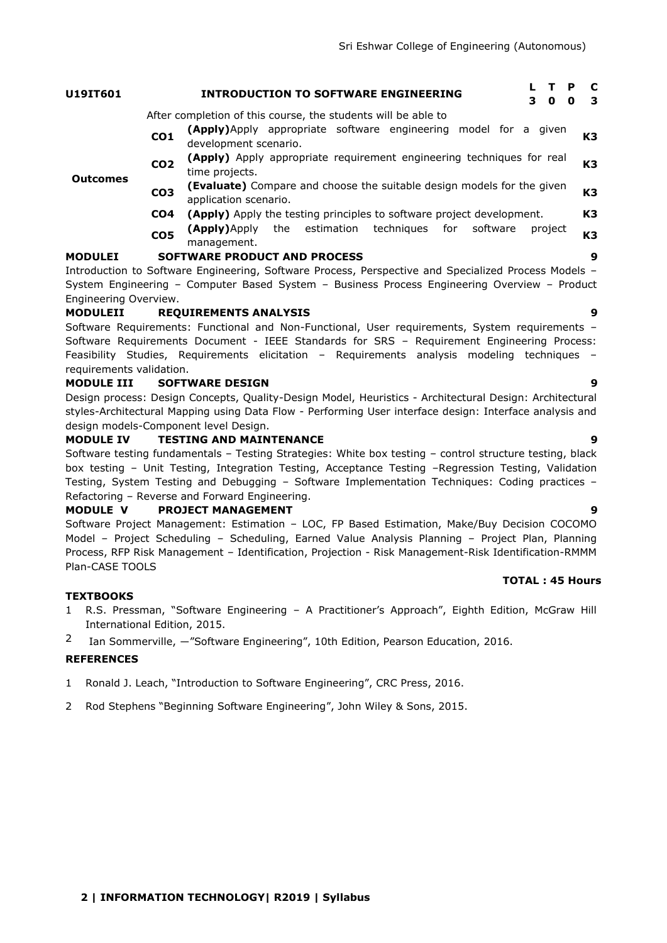| U19IT601              |                 | P<br><b>INTRODUCTION TO SOFTWARE ENGINEERING</b><br>3<br>$\mathbf{0}$<br>$\mathbf o$                   | C<br>3         |
|-----------------------|-----------------|--------------------------------------------------------------------------------------------------------|----------------|
|                       |                 | After completion of this course, the students will be able to                                          |                |
|                       | CO <sub>1</sub> | <b>(Apply)</b> Apply appropriate software engineering model for a given<br>development scenario.       | K <sub>3</sub> |
| <b>Outcomes</b>       | CO <sub>2</sub> | (Apply) Apply appropriate requirement engineering techniques for real<br>time projects.                | K <sub>3</sub> |
|                       | CO <sub>3</sub> | <b>(Evaluate)</b> Compare and choose the suitable design models for the given<br>application scenario. | K3             |
|                       | CO4             | <b>(Apply)</b> Apply the testing principles to software project development.                           | K <sub>3</sub> |
|                       | CO <sub>5</sub> | (Apply)Apply the estimation techniques for software<br>project<br>management.                          | K3             |
| <b>MODULEI</b>        |                 | <b>SOFTWARE PRODUCT AND PROCESS</b>                                                                    | 9              |
|                       |                 | Introduction to Software Engineering, Software Process, Perspective and Specialized Process Models -   |                |
|                       |                 | System Engineering – Computer Based System – Business Process Engineering Overview – Product           |                |
| Engineering Overview. |                 |                                                                                                        |                |
| <b>MODULEII</b>       |                 | <b>REQUIREMENTS ANALYSIS</b>                                                                           | 9              |
|                       |                 | Software Requirements: Functional and Non-Functional, User requirements, System requirements -         |                |
|                       |                 | Software Requirements Document - IEEE Standards for SRS - Requirement Engineering Process:             |                |

### requirements validation. **MODULE III SOFTWARE DESIGN 9**

Design process: Design Concepts, Quality-Design Model, Heuristics - Architectural Design: Architectural styles-Architectural Mapping using Data Flow - Performing User interface design: Interface analysis and design models-Component level Design.

Feasibility Studies, Requirements elicitation – Requirements analysis modeling techniques –

### **MODULE IV TESTING AND MAINTENANCE 9**

Software testing fundamentals – Testing Strategies: White box testing – control structure testing, black box testing – Unit Testing, Integration Testing, Acceptance Testing –Regression Testing, Validation Testing, System Testing and Debugging – Software Implementation Techniques: Coding practices – Refactoring – Reverse and Forward Engineering.

### **MODULE V PROJECT MANAGEMENT 9**

Software Project Management: Estimation – LOC, FP Based Estimation, Make/Buy Decision COCOMO Model – Project Scheduling – Scheduling, Earned Value Analysis Planning – Project Plan, Planning Process, RFP Risk Management – Identification, Projection - Risk Management-Risk Identification-RMMM Plan-CASE TOOLS

### **TOTAL : 45 Hours**

### **TEXTBOOKS**

- 1 R.S. Pressman, "Software Engineering A Practitioner's Approach", Eighth Edition, McGraw Hill International Edition, 2015.
- 2 Ian Sommerville, —"Software Engineering", 10th Edition, Pearson Education, 2016.

### **REFERENCES**

- 1 Ronald J. Leach, "Introduction to Software Engineering", CRC Press, 2016.
- 2 Rod Stephens "Beginning Software Engineering", John Wiley & Sons, 2015.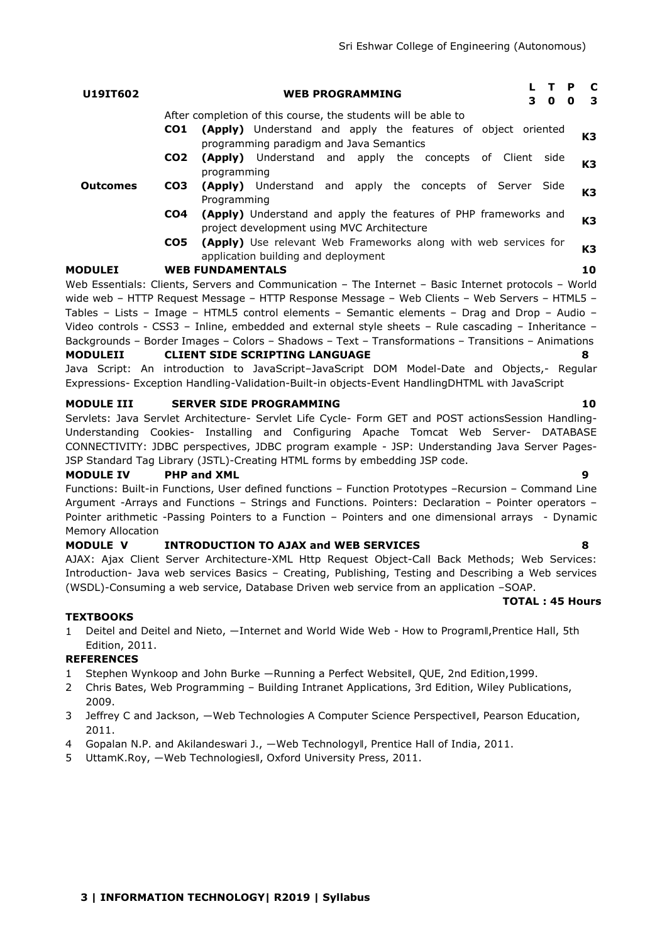### **U19IT602 WEB PROGRAMMING <sup>L</sup> <sup>T</sup> <sup>P</sup> <sup>C</sup> 3 0 0 3** After completion of this course, the students will be able to **CO1 (Apply)** Understand and apply the features of object oriented programming paradigm and Java Semantics **K3**

- **CO2 (Apply)** Understand and apply the concepts of Client side programming **K3**
- **CO3 (Apply)** Understand and apply the concepts of Server Side Programming **K3**
	- **CO4 (Apply)** Understand and apply the features of PHP frameworks and project development using MVC Architecture **K3**
	- **CO5 (Apply)** Use relevant Web Frameworks along with web services for **EXAMPLY** USE TELEVANT WED TRANSPORTS AIDING WITH WED SETVICES TO **K3**<br>application building and deployment

# **MODULEI WEB FUNDAMENTALS 10**

**Outcomes**

Web Essentials: Clients, Servers and Communication – The Internet – Basic Internet protocols – World wide web – HTTP Request Message – HTTP Response Message – Web Clients – Web Servers – HTML5 – Tables – Lists – Image – HTML5 control elements – Semantic elements – Drag and Drop – Audio – Video controls - CSS3 – Inline, embedded and external style sheets – Rule cascading – Inheritance – Backgrounds – Border Images – Colors – Shadows – Text – Transformations – Transitions – Animations **MODULEII CLIENT SIDE SCRIPTING LANGUAGE 8**

Java Script: An introduction to JavaScript-JavaScript DOM Model-Date and Objects,- Regular Expressions- Exception Handling-Validation-Built-in objects-Event HandlingDHTML with JavaScript

# **MODULE III SERVER SIDE PROGRAMMING 10**

Servlets: Java Servlet Architecture- Servlet Life Cycle- Form GET and POST actionsSession Handling-Understanding Cookies- Installing and Configuring Apache Tomcat Web Server- DATABASE CONNECTIVITY: JDBC perspectives, JDBC program example - JSP: Understanding Java Server Pages-JSP Standard Tag Library (JSTL)-Creating HTML forms by embedding JSP code.

# **MODULE IV PHP and XML 9**

Functions: Built-in Functions, User defined functions – Function Prototypes –Recursion – Command Line Argument -Arrays and Functions – Strings and Functions. Pointers: Declaration – Pointer operators – Pointer arithmetic -Passing Pointers to a Function – Pointers and one dimensional arrays - Dynamic Memory Allocation

# **MODULE V INTRODUCTION TO AJAX and WEB SERVICES 8**

AJAX: Ajax Client Server Architecture-XML Http Request Object-Call Back Methods; Web Services: Introduction- Java web services Basics – Creating, Publishing, Testing and Describing a Web services (WSDL)-Consuming a web service, Database Driven web service from an application –SOAP.

## **TOTAL : 45 Hours**

# **TEXTBOOKS**

1 Deitel and Deitel and Nieto, —Internet and World Wide Web - How to ProgramII, Prentice Hall, 5th Edition, 2011.

# **REFERENCES**

- 1 Stephen Wynkoop and John Burke ―Running a Perfect Website‖, QUE, 2nd Edition,1999.
- 2 Chris Bates, Web Programming Building Intranet Applications, 3rd Edition, Wiley Publications, 2009.
- 3 Jeffrey C and Jackson, —Web Technologies A Computer Science Perspectivell, Pearson Education, 2011.
- 4 Gopalan N.P. and Akilandeswari J., ―Web Technology‖, Prentice Hall of India, 2011.
- 5 UttamK.Roy, ―Web Technologies‖, Oxford University Press, 2011.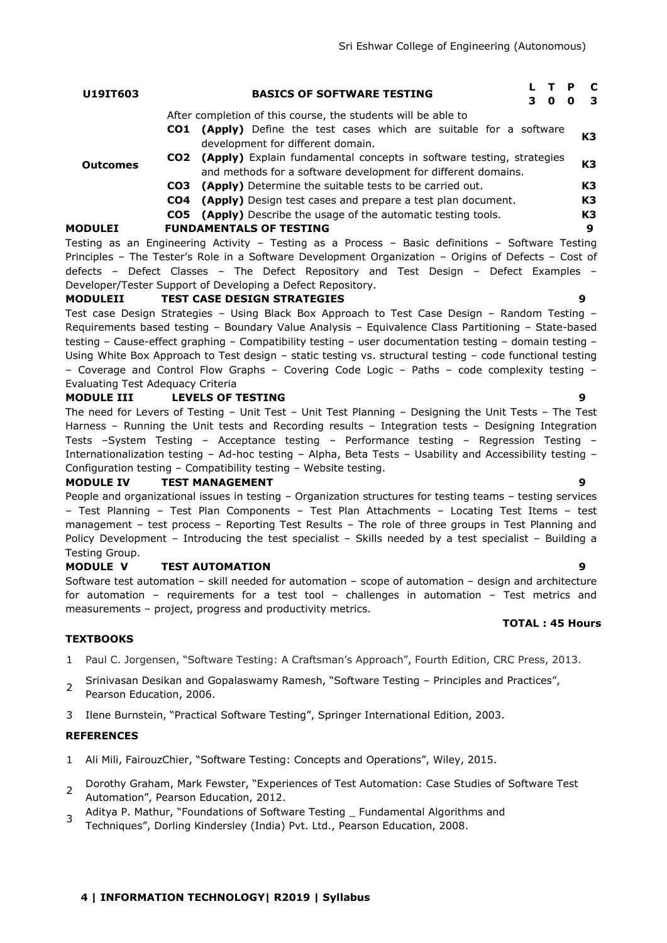| U19IT603        | <b>BASICS OF SOFTWARE TESTING</b><br>3                                                                                                          | $\bullet$ | Р<br>O | - C<br>- 3 |  |  |
|-----------------|-------------------------------------------------------------------------------------------------------------------------------------------------|-----------|--------|------------|--|--|
|                 | After completion of this course, the students will be able to                                                                                   |           |        |            |  |  |
|                 | <b>(Apply)</b> Define the test cases which are suitable for a software<br>CO1<br>development for different domain.                              |           |        | K3         |  |  |
| <b>Outcomes</b> | CO2 (Apply) Explain fundamental concepts in software testing, strategies<br>K3<br>and methods for a software development for different domains. |           |        |            |  |  |
|                 | (Apply) Determine the suitable tests to be carried out.<br>CO3                                                                                  |           |        | K3         |  |  |
|                 | (Apply) Design test cases and prepare a test plan document.<br>CO4                                                                              |           |        | K3         |  |  |
|                 | <b>CO5</b> (Apply) Describe the usage of the automatic testing tools.                                                                           |           |        | K3         |  |  |
| <b>MODULEI</b>  | <b>FUNDAMENTALS OF TESTING</b>                                                                                                                  |           |        | 9          |  |  |
|                 | Testing as an Engineering Activity - Testing as a Process - Basic definitions - Software Testing                                                |           |        |            |  |  |

Principles – The Tester's Role in a Software Development Organization – Origins of Defects – Cost of defects – Defect Classes – The Defect Repository and Test Design – Defect Examples – Developer/Tester Support of Developing a Defect Repository.

## **MODULEII TEST CASE DESIGN STRATEGIES 9**

Test case Design Strategies – Using Black Box Approach to Test Case Design – Random Testing – Requirements based testing – Boundary Value Analysis – Equivalence Class Partitioning – State-based testing – Cause-effect graphing – Compatibility testing – user documentation testing – domain testing – Using White Box Approach to Test design – static testing vs. structural testing – code functional testing – Coverage and Control Flow Graphs – Covering Code Logic – Paths – code complexity testing – Evaluating Test Adequacy Criteria

## **MODULE III LEVELS OF TESTING 9**

The need for Levers of Testing – Unit Test – Unit Test Planning – Designing the Unit Tests – The Test Harness – Running the Unit tests and Recording results – Integration tests – Designing Integration Tests –System Testing – Acceptance testing – Performance testing – Regression Testing – Internationalization testing – Ad-hoc testing – Alpha, Beta Tests – Usability and Accessibility testing – Configuration testing – Compatibility testing – Website testing.

## **MODULE IV TEST MANAGEMENT 9**

People and organizational issues in testing – Organization structures for testing teams – testing services – Test Planning – Test Plan Components – Test Plan Attachments – Locating Test Items – test management – test process – Reporting Test Results – The role of three groups in Test Planning and Policy Development – Introducing the test specialist – Skills needed by a test specialist – Building a Testing Group.

## **MODULE V TEST AUTOMATION 9**

Software test automation – skill needed for automation – scope of automation – design and architecture for automation – requirements for a test tool – challenges in automation – Test metrics and measurements – project, progress and productivity metrics.

## **TEXTBOOKS**

- 1 Paul C. Jorgensen, "Software Testing: A Craftsman's Approach", Fourth Edition, CRC Press, 2013.
- $\mathcal{P}$ Srinivasan Desikan and Gopalaswamy Ramesh, "Software Testing – Principles and Practices", Pearson Education, 2006.
- 3 Ilene Burnstein, "Practical Software Testing", Springer International Edition, 2003.

# **REFERENCES**

- 1 Ali Mili, FairouzChier, "Software Testing: Concepts and Operations", Wiley, 2015.
- 2 Dorothy Graham, Mark Fewster, "Experiences of Test Automation: Case Studies of Software Test Automation", Pearson Education, 2012.
- 3 Aditya P. Mathur, "Foundations of Software Testing \_ Fundamental Algorithms and Techniques", Dorling Kindersley (India) Pvt. Ltd., Pearson Education, 2008.

# **4 | INFORMATION TECHNOLOGY| R2019 | Syllabus**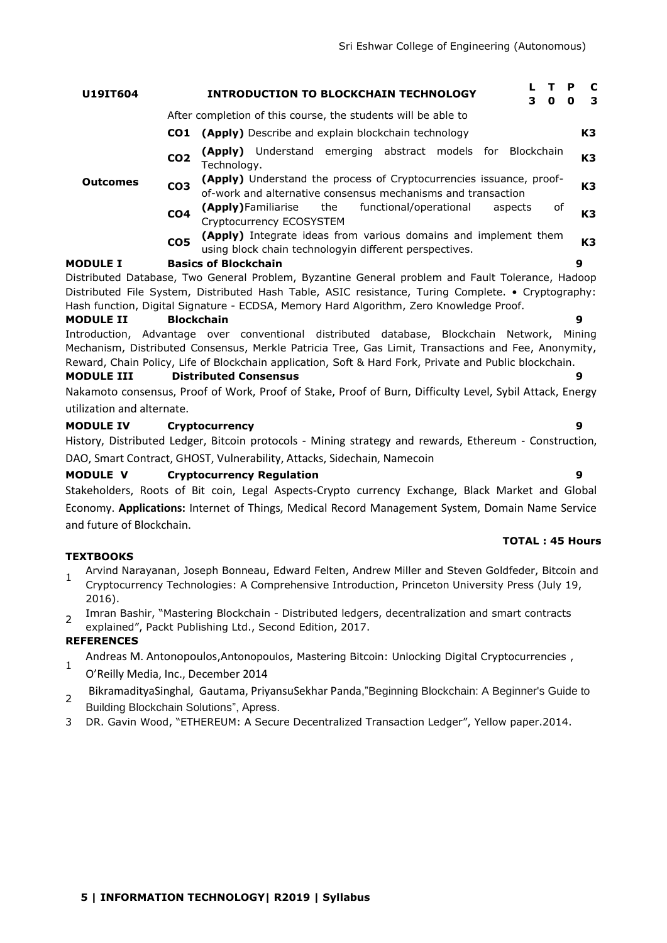| U19IT604                                                                                           |                 | <b>INTRODUCTION TO BLOCKCHAIN TECHNOLOGY</b> |                                                                                                                                     |     |                        |  | 3. | 0          | P<br>O | <b>C</b><br>-3 |    |
|----------------------------------------------------------------------------------------------------|-----------------|----------------------------------------------|-------------------------------------------------------------------------------------------------------------------------------------|-----|------------------------|--|----|------------|--------|----------------|----|
|                                                                                                    |                 |                                              | After completion of this course, the students will be able to                                                                       |     |                        |  |    |            |        |                |    |
|                                                                                                    |                 |                                              | <b>CO1</b> (Apply) Describe and explain blockchain technology                                                                       |     |                        |  |    |            |        |                | K3 |
|                                                                                                    | CO <sub>2</sub> | Technoloav.                                  | (Apply) Understand emerging abstract models for                                                                                     |     |                        |  |    | Blockchain |        |                | K3 |
| <b>Outcomes</b>                                                                                    | CO <sub>3</sub> |                                              | (Apply) Understand the process of Cryptocurrencies issuance, proof-<br>of-work and alternative consensus mechanisms and transaction |     |                        |  |    |            |        |                | K3 |
|                                                                                                    | CO <sub>4</sub> |                                              | (Apply)Familiarise<br>Cryptocurrency ECOSYSTEM                                                                                      | the | functional/operational |  |    | aspects    | of     |                | K3 |
|                                                                                                    | CO <sub>5</sub> |                                              | (Apply) Integrate ideas from various domains and implement them<br>using block chain technologyin different perspectives.           |     |                        |  |    |            |        |                | K3 |
| <b>MODULE I</b>                                                                                    |                 | <b>Basics of Blockchain</b>                  |                                                                                                                                     |     |                        |  |    |            |        | 9              |    |
| Distributed Database, Two General Problem, Byzantine General problem and Fault Tolerance, Hadoop   |                 |                                              |                                                                                                                                     |     |                        |  |    |            |        |                |    |
| Distributed File System, Distributed Hash Table, ASIC resistance, Turing Complete. • Cryptography: |                 |                                              |                                                                                                                                     |     |                        |  |    |            |        |                |    |
| Hash function, Digital Signature - ECDSA, Memory Hard Algorithm, Zero Knowledge Proof.             |                 |                                              |                                                                                                                                     |     |                        |  |    |            |        |                |    |

## **MODULE II Blockchain 9**

Introduction, Advantage over conventional distributed database, Blockchain Network, Mining Mechanism, Distributed Consensus, Merkle Patricia Tree, Gas Limit, Transactions and Fee, Anonymity, Reward, Chain Policy, Life of Blockchain application, Soft & Hard Fork, Private and Public blockchain.

### **MODULE III Distributed Consensus 9**

Nakamoto consensus, Proof of Work, Proof of Stake, Proof of Burn, Difficulty Level, Sybil Attack, Energy utilization and alternate.

### **MODULE IV Cryptocurrency 9**

History, Distributed Ledger, Bitcoin protocols - Mining strategy and rewards, Ethereum - Construction, DAO, Smart Contract, GHOST, Vulnerability, Attacks, Sidechain, Namecoin

### **MODULE V Cryptocurrency Regulation 9**

Stakeholders, Roots of Bit coin, Legal Aspects-Crypto currency Exchange, Black Market and Global Economy. **Applications:** Internet of Things, Medical Record Management System, Domain Name Service and future of Blockchain.

### **TEXTBOOKS**

- 1 Arvind Narayanan, Joseph Bonneau, Edward Felten, Andrew Miller and Steven Goldfeder, Bitcoin and Cryptocurrency Technologies: A Comprehensive Introduction, Princeton University Press (July 19, 2016).
- $2^{\circ}$ Imran Bashir, "Mastering Blockchain - Distributed ledgers, decentralization and smart contracts explained", Packt Publishing Ltd., Second Edition, 2017.

### **REFERENCES**

- 1 Andreas M. Antonopoulos,Antonopoulos, Mastering Bitcoin: Unlocking Digital Cryptocurrencies ,
- O'Reilly Media, Inc., December 2014
- 2 [BikramadityaSinghal,](https://www.amazon.in/s/ref=dp_byline_sr_book_1?ie=UTF8&field-author=Bikramaditya+Singhal&search-alias=stripbooks) Gautama, [PriyansuSekhar Panda](https://www.amazon.in/s/ref=dp_byline_sr_book_3?ie=UTF8&field-author=Priyansu+Sekhar+Panda&search-alias=stripbooks),"Beginning Blockchain: A Beginner's Guide to Building Blockchain Solutions", Apress.
- 3 DR. Gavin Wood, "ETHEREUM: A Secure Decentralized Transaction Ledger", Yellow paper.2014.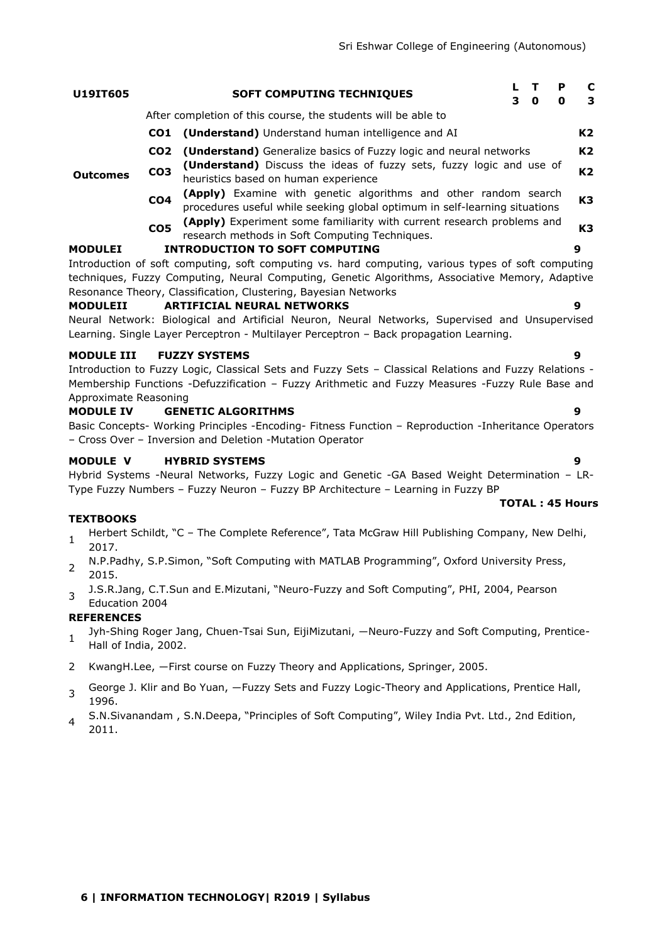| U19IT605                                                       |                 | <b>SOFT COMPUTING TECHNIQUES</b>                                                                                                                                                                                                                                                                                                                                                                                                                                                                          | 3 | т<br>$\mathbf{o}$ | P<br>0 | C<br>3         |
|----------------------------------------------------------------|-----------------|-----------------------------------------------------------------------------------------------------------------------------------------------------------------------------------------------------------------------------------------------------------------------------------------------------------------------------------------------------------------------------------------------------------------------------------------------------------------------------------------------------------|---|-------------------|--------|----------------|
|                                                                |                 | After completion of this course, the students will be able to                                                                                                                                                                                                                                                                                                                                                                                                                                             |   |                   |        |                |
|                                                                | CO <sub>1</sub> | (Understand) Understand human intelligence and AI                                                                                                                                                                                                                                                                                                                                                                                                                                                         |   |                   |        | K2             |
|                                                                | CO <sub>2</sub> | (Understand) Generalize basics of Fuzzy logic and neural networks                                                                                                                                                                                                                                                                                                                                                                                                                                         |   |                   |        | K <sub>2</sub> |
| <b>Outcomes</b>                                                | CO <sub>3</sub> | (Understand) Discuss the ideas of fuzzy sets, fuzzy logic and use of<br>heuristics based on human experience                                                                                                                                                                                                                                                                                                                                                                                              |   |                   |        | K2             |
|                                                                | CO <sub>4</sub> | (Apply) Examine with genetic algorithms and other random search<br>procedures useful while seeking global optimum in self-learning situations                                                                                                                                                                                                                                                                                                                                                             |   |                   |        | K <sub>3</sub> |
|                                                                | CO <sub>5</sub> | (Apply) Experiment some familiarity with current research problems and<br>research methods in Soft Computing Techniques.                                                                                                                                                                                                                                                                                                                                                                                  |   |                   |        | K <sub>3</sub> |
| <b>MODULEI</b>                                                 |                 | <b>INTRODUCTION TO SOFT COMPUTING</b>                                                                                                                                                                                                                                                                                                                                                                                                                                                                     |   |                   |        | 9              |
| <b>MODULEII</b>                                                |                 | Introduction of soft computing, soft computing vs. hard computing, various types of soft computing<br>techniques, Fuzzy Computing, Neural Computing, Genetic Algorithms, Associative Memory, Adaptive<br>Resonance Theory, Classification, Clustering, Bayesian Networks<br><b>ARTIFICIAL NEURAL NETWORKS</b><br>Neural Network: Biological and Artificial Neuron, Neural Networks, Supervised and Unsupervised<br>Learning. Single Layer Perceptron - Multilayer Perceptron - Back propagation Learning. |   |                   |        | 9              |
| <b>MODULE III</b><br>Approximate Reasoning<br><b>MODULE IV</b> |                 | <b>FUZZY SYSTEMS</b><br>Introduction to Fuzzy Logic, Classical Sets and Fuzzy Sets - Classical Relations and Fuzzy Relations -<br>Membership Functions -Defuzzification - Fuzzy Arithmetic and Fuzzy Measures -Fuzzy Rule Base and<br><b>GENETIC ALGORITHMS</b><br>Basic Concepts- Working Principles -Encoding- Fitness Function - Reproduction -Inheritance Operators<br>- Cross Over - Inversion and Deletion -Mutation Operator                                                                       |   |                   |        | 9<br>9         |
| <b>MODULE V</b>                                                |                 | <b>HYBRID SYSTEMS</b><br>Hybrid Systems -Neural Networks, Fuzzy Logic and Genetic -GA Based Weight Determination - LR-<br>Type Fuzzy Numbers - Fuzzy Neuron - Fuzzy BP Architecture - Learning in Fuzzy BP                                                                                                                                                                                                                                                                                                |   |                   |        | 9              |

### **TEXTBOOKS**

- 1 Herbert Schildt, "C - The Complete Reference", Tata McGraw Hill Publishing Company, New Delhi, 2017.
- 2 N.P.Padhy, S.P.Simon, "Soft Computing with MATLAB Programming", Oxford University Press, 2015.
- 3 J.S.R.Jang, C.T.Sun and E.Mizutani, "Neuro-Fuzzy and Soft Computing", PHI, 2004, Pearson

# Education 2004

- **REFERENCES**
- 1 Jyh-Shing Roger Jang, Chuen-Tsai Sun, EijiMizutani, ―Neuro-Fuzzy and Soft Computing, Prentice-Hall of India, 2002.
- 2 KwangH.Lee, ―First course on Fuzzy Theory and Applications, Springer, 2005.
- 3 George J. Klir and Bo Yuan, ―Fuzzy Sets and Fuzzy Logic-Theory and Applications, Prentice Hall, 1996.
- 4 S.N.Sivanandam , S.N.Deepa, "Principles of Soft Computing", Wiley India Pvt. Ltd., 2nd Edition, 2011.
- 
- **TOTAL : 45 Hours**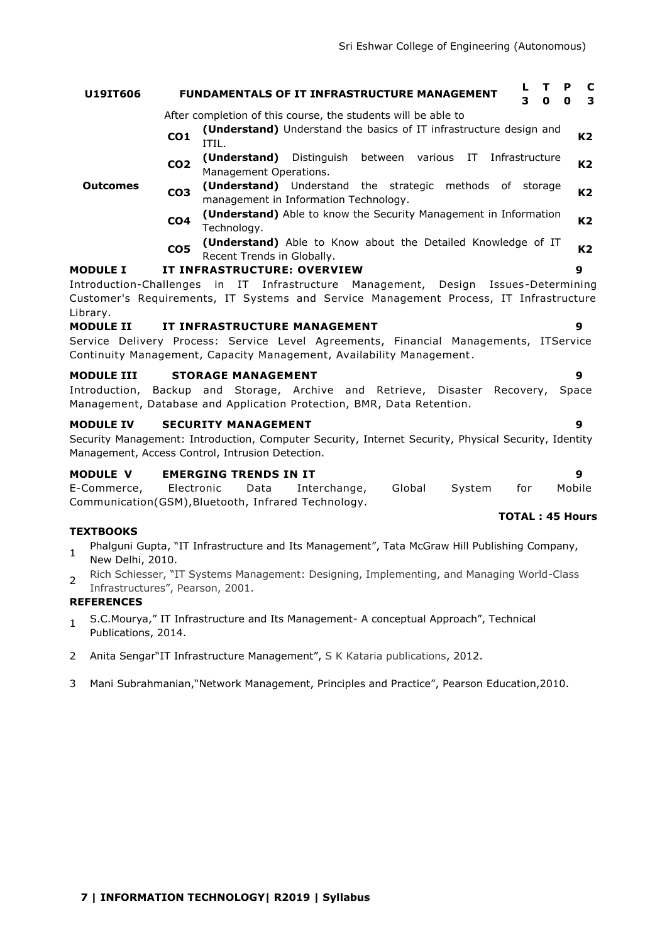| U19IT606                           |                 | т<br>P<br><b>FUNDAMENTALS OF IT INFRASTRUCTURE MANAGEMENT</b><br>3<br>0<br>O                                                                                                                | C<br>3         |
|------------------------------------|-----------------|---------------------------------------------------------------------------------------------------------------------------------------------------------------------------------------------|----------------|
|                                    |                 | After completion of this course, the students will be able to                                                                                                                               |                |
|                                    | CO <sub>1</sub> | (Understand) Understand the basics of IT infrastructure design and<br>ITIL.                                                                                                                 | K2             |
|                                    | CO <sub>2</sub> | (Understand) Distinguish between various<br>Infrastructure<br>IT<br>Management Operations.                                                                                                  | K <sub>2</sub> |
| <b>Outcomes</b>                    | CO <sub>3</sub> | ( <b>Understand</b> ) Understand the strategic methods of storage<br>management in Information Technology.                                                                                  | K <sub>2</sub> |
|                                    | CO <sub>4</sub> | <b>(Understand)</b> Able to know the Security Management in Information<br>Technology.                                                                                                      | K <sub>2</sub> |
|                                    | CO <sub>5</sub> | (Understand) Able to Know about the Detailed Knowledge of IT<br>Recent Trends in Globally.                                                                                                  | K <sub>2</sub> |
| <b>MODULE I</b>                    |                 | IT INFRASTRUCTURE: OVERVIEW<br>9                                                                                                                                                            |                |
|                                    |                 | Introduction-Challenges in IT Infrastructure Management, Design Issues-Determining                                                                                                          |                |
| Library.                           |                 | Customer's Requirements, IT Systems and Service Management Process, IT Infrastructure                                                                                                       |                |
| <b>MODULE II</b>                   |                 | IT INFRASTRUCTURE MANAGEMENT<br>9                                                                                                                                                           |                |
|                                    |                 | Service Delivery Process: Service Level Agreements, Financial Managements, ITService<br>Continuity Management, Capacity Management, Availability Management.                                |                |
| <b>MODULE III</b><br>Introduction, |                 | <b>STORAGE MANAGEMENT</b><br>9<br>Backup and Storage, Archive and Retrieve, Disaster Recovery,<br>Space<br>Management, Database and Application Protection, BMR, Data Retention.            |                |
| <b>MODULE IV</b>                   |                 | <b>SECURITY MANAGEMENT</b><br>9<br>Security Management: Introduction, Computer Security, Internet Security, Physical Security, Identity<br>Management, Access Control, Intrusion Detection. |                |

## **MODULE V EMERGING TRENDS IN IT 9**

|                                                     |            |      |              |        |        |     | <b>TOTAL: 45 Hours</b> |
|-----------------------------------------------------|------------|------|--------------|--------|--------|-----|------------------------|
| Communication(GSM), Bluetooth, Infrared Technology. |            |      |              |        |        |     |                        |
| E-Commerce,                                         | Electronic | Data | Interchange, | Global | Svstem | tor | Mobile                 |

## **TEXTBOOKS**

- 1 Phalguni Gupta, "IT Infrastructure and Its Management", Tata McGraw Hill Publishing Company, New Delhi, 2010.
- 2 Rich Schiesser, "IT Systems Management: Designing, Implementing, and Managing World-Class Infrastructures", Pearson, 2001.

# **REFERENCES**

- 1 S.C.Mourya," IT Infrastructure and Its Management- A conceptual Approach", Technical Publications, 2014.
- 2 Anita Sengar"IT Infrastructure Management", S K Kataria publications, 2012.
- 3 Mani Subrahmanian,"Network Management, Principles and Practice", Pearson Education,2010.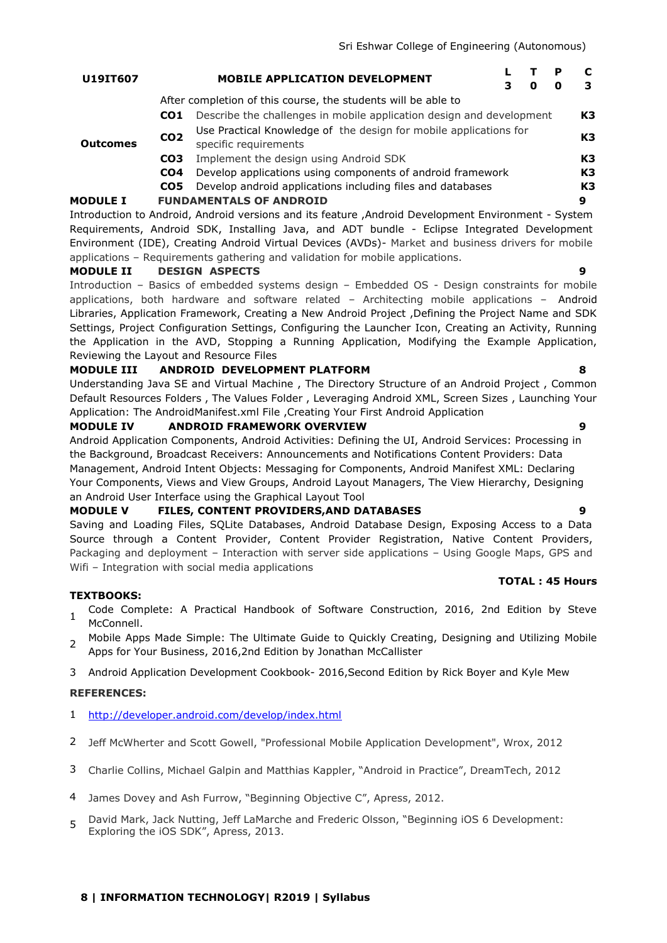| <b>U19IT607</b> | <b>MOBILE APPLICATION DEVELOPMENT</b> |       |  |  |
|-----------------|---------------------------------------|-------|--|--|
|                 |                                       | 3 0 0 |  |  |

After completion of this course, the students will be able to

- **CO1** Describe the challenges in mobile application design and development **K3**
- **Outcomes CO2** Use Practical Knowledge of the design for mobile applications for specific requirements **K3** specific requirements **CO3** Implement the design using Android SDK **K3**
	- **CO4** Develop applications using components of android framework **K3**
	- **CO5** Develop android applications including files and databases **K3**

## **MODULE I FUNDAMENTALS OF ANDROID 9**

Introduction to Android, Android versions and its feature ,Android Development Environment - System Requirements, Android SDK, Installing Java, and ADT bundle - Eclipse Integrated Development Environment (IDE), Creating Android Virtual Devices (AVDs)- Market and business drivers for mobile applications – Requirements gathering and validation for mobile applications.

## **MODULE II DESIGN ASPECTS 9**

Introduction – Basics of embedded systems design – Embedded OS - Design constraints for mobile applications, both hardware and software related – Architecting mobile applications – Android Libraries, Application Framework, Creating a New Android Project ,Defining the Project Name and SDK Settings, Project Configuration Settings, Configuring the Launcher Icon, Creating an Activity, Running the Application in the AVD, Stopping a Running Application, Modifying the Example Application, Reviewing the Layout and Resource Files

### **MODULE III ANDROID DEVELOPMENT PLATFORM 8**

Understanding Java SE and Virtual Machine , The Directory Structure of an Android Project , Common Default Resources Folders , The Values Folder , Leveraging Android XML, Screen Sizes , Launching Your Application: The AndroidManifest.xml File ,Creating Your First Android Application

### **MODULE IV ANDROID FRAMEWORK OVERVIEW 9**

Android Application Components, Android Activities: Defining the UI, Android Services: Processing in the Background, Broadcast Receivers: Announcements and Notifications Content Providers: Data Management, Android Intent Objects: Messaging for Components, Android Manifest XML: Declaring Your Components, Views and View Groups, Android Layout Managers, The View Hierarchy, Designing an Android User Interface using the Graphical Layout Tool

### **MODULE V FILES, CONTENT PROVIDERS,AND DATABASES 9**

Saving and Loading Files, SQLite Databases, Android Database Design, Exposing Access to a Data Source through a Content Provider, Content Provider Registration, Native Content Providers, Packaging and deployment – Interaction with server side applications – Using Google Maps, GPS and Wifi - Integration with social media applications

### **TEXTBOOKS:**

- 1 Code Complete: A Practical Handbook of Software Construction, 2016, 2nd Edition by Steve McConnell.
- $\mathcal{L}$ Mobile Apps Made Simple: The Ultimate Guide to Quickly Creating, Designing and Utilizing Mobile Apps for Your Business, 2016,2nd Edition by Jonathan McCallister
- 3 Android Application Development Cookbook- 2016,Second Edition by Rick Boyer and Kyle Mew

### **REFERENCES:**

- 1 <http://developer.android.com/develop/index.html>
- 2 Jeff McWherter and Scott Gowell, "Professional Mobile Application Development", Wrox, 2012
- 3 Charlie Collins, Michael Galpin and Matthias Kappler, "Android in Practice", DreamTech, 2012
- 4 James Dovey and Ash Furrow, "Beginning Objective C", Apress, 2012.
- 5 David Mark, Jack Nutting, Jeff LaMarche and Frederic Olsson, "Beginning iOS 6 Development: Exploring the iOS SDK", Apress, 2013.

### **8 | INFORMATION TECHNOLOGY| R2019 | Syllabus**